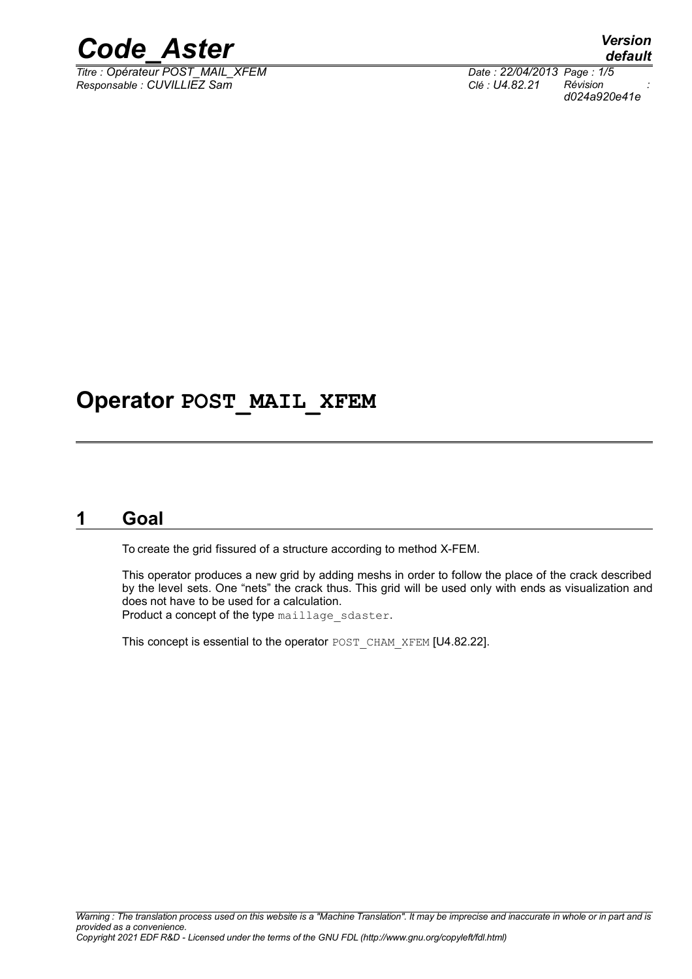

 $\overline{T}$ itre : Opérateur POST\_MAIL\_XFEM *Responsable : CUVILLIEZ Sam Clé : U4.82.21 Révision :*

## **Operator POST\_MAIL\_XFEM**

### **1 Goal**

To create the grid fissured of a structure according to method X-FEM.

This operator produces a new grid by adding meshs in order to follow the place of the crack described by the level sets. One "nets" the crack thus. This grid will be used only with ends as visualization and does not have to be used for a calculation. Product a concept of the type maillage sdaster.

This concept is essential to the operator POST\_CHAM\_XFEM [U4.82.22].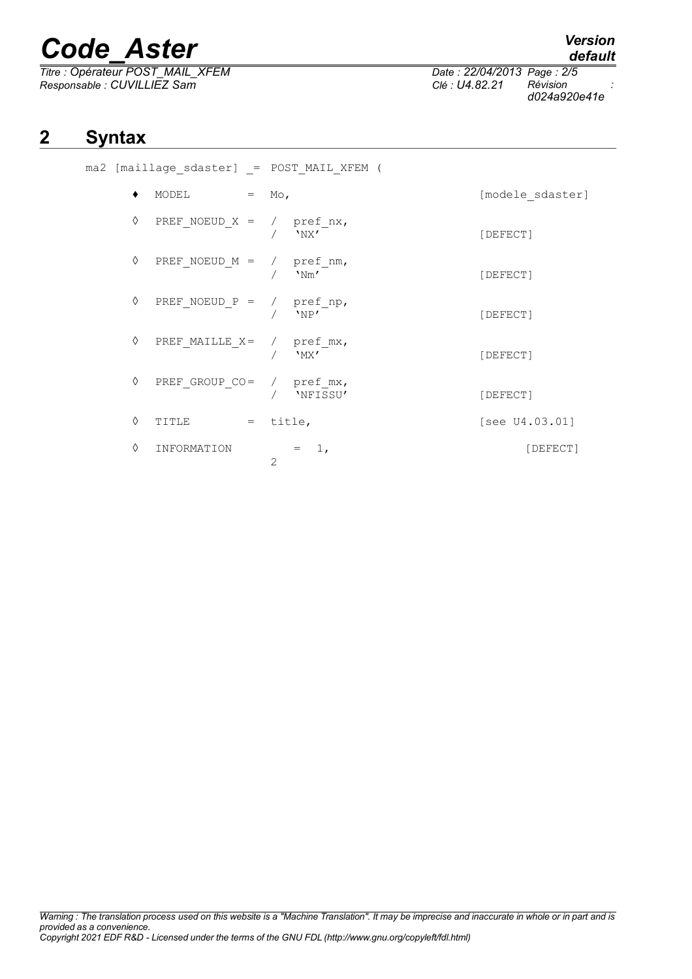# *Code\_Aster Version*

*Titre : Opérateur POST\_MAIL\_XFEM Date : 22/04/2013 Page : 2/5 Responsable : CUVILLIEZ Sam Clé : U4.82.21 Révision :*

*default*

## **2 Syntax**

| ٠ | MODEL<br>$=$ Mo,              |                          | [modele_sdaster]  |
|---|-------------------------------|--------------------------|-------------------|
| ♦ | $PREF_NOEUD_X = / pref_nx,$   | $/$ 'NX'                 | [DEFECT]          |
| ♦ | $PREF_NOEUD_M = / pref_n,$    | $/$ 'Nm'                 | [DEFECT]          |
| ♦ | $PREF_NOEUD_P = / pref_np,$   | 'NP'                     | [DEFECT]          |
| ♦ | PREF_MAILLE_X= / $pref\_mx$ , | / $"$ MX'                | [DEFECT]          |
| ♦ | $PREF_GROUP_CO = / pref_mx,$  | / 'NFISSU'               | [DEFECT]          |
| ♦ | TITLE                         | $=$ title,               | [see $U4.03.01$ ] |
| ♦ | INFORMATION                   | $= 1,$<br>$\overline{2}$ | [DEFECT]          |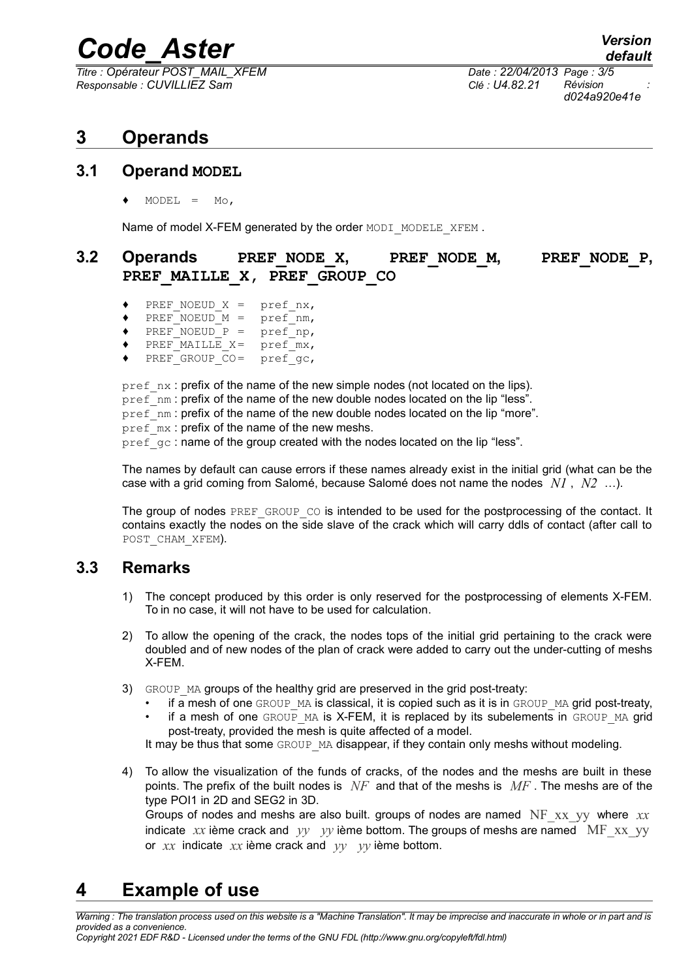## *Code\_Aster Version*

*Titre : Opérateur POST\_MAIL\_XFEM Date : 22/04/2013 Page : 3/5 Responsable : CUVILLIEZ Sam Clé : U4.82.21 Révision :*

*d024a920e41e*

## **3 Operands**

#### **3.1 Operand MODEL**

 $MODEL = MO,$ 

Name of model X-FEM generated by the order MODI\_MODELE\_XFEM.

### **3.2 Operands PREF\_NODE\_X, PREF\_NODE\_M, PREF\_NODE\_P, PREF\_MAILLE\_X, PREF\_GROUP\_CO**

- PREF\_NOEUD\_X = pref\_nx,
- $\sqrt{\text{PREF}}$  NOEUD  $M = \text{pref}$  nm,
- $\sqrt{\text{PREF}}$  NOEUD P = pref np,
- PREF MAILLE  $X = \text{pref}$  mx,
- PREF\_GROUP\_CO= pref\_gc,

pref\_nx : prefix of the name of the new simple nodes (not located on the lips). pref\_nm : prefix of the name of the new double nodes located on the lip "less". pref\_nm : prefix of the name of the new double nodes located on the lip "more".  $\text{pref}$ <sub>mx</sub> : prefix of the name of the new meshs. pref<sup>qc</sup> : name of the group created with the nodes located on the lip "less".

The names by default can cause errors if these names already exist in the initial grid (what can be the case with a grid coming from Salomé, because Salomé does not name the nodes *N1* , *N2* …).

The group of nodes  $PREF$  GROUP  $CO$  is intended to be used for the postprocessing of the contact. It contains exactly the nodes on the side slave of the crack which will carry ddls of contact (after call to POST CHAM XFEM).

#### **3.3 Remarks**

- 1) The concept produced by this order is only reserved for the postprocessing of elements X-FEM. To in no case, it will not have to be used for calculation.
- 2) To allow the opening of the crack, the nodes tops of the initial grid pertaining to the crack were doubled and of new nodes of the plan of crack were added to carry out the under-cutting of meshs X-FEM.
- 3) GROUP MA groups of the healthy grid are preserved in the grid post-treaty:
	- if a mesh of one GROUP MA is classical, it is copied such as it is in GROUP MA grid post-treaty,
	- if a mesh of one  $GROUP$  MA is X-FEM, it is replaced by its subelements in  $GROUP$  MA grid post-treaty, provided the mesh is quite affected of a model.

It may be thus that some GROUP MA disappear, if they contain only meshs without modeling.

4) To allow the visualization of the funds of cracks, of the nodes and the meshs are built in these points. The prefix of the built nodes is *NF* and that of the meshs is *MF* . The meshs are of the type POI1 in 2D and SEG2 in 3D.

Groups of nodes and meshs are also built. groups of nodes are named NF\_xx\_yy where *xx* indicate *xx* ième crack and *yy yy* ième bottom. The groups of meshs are named MF xx yy or *xx* indicate *xx* ième crack and *yy yy* ième bottom.

## **4 Example of use**

*Warning : The translation process used on this website is a "Machine Translation". It may be imprecise and inaccurate in whole or in part and is provided as a convenience.*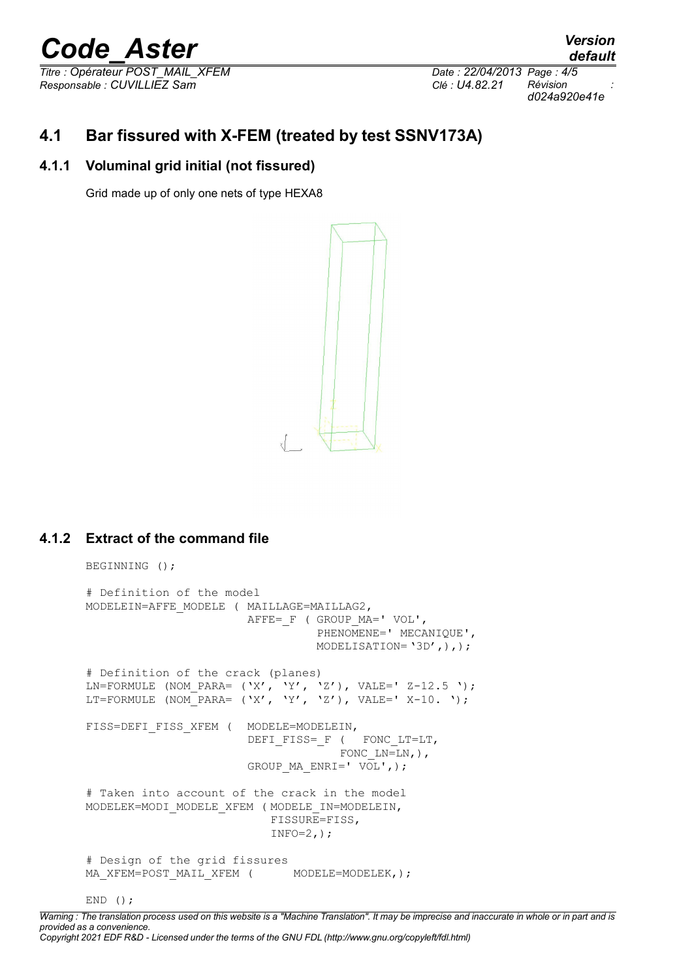# *Code\_Aster Version*

*Titre : Opérateur POST\_MAIL\_XFEM Date : 22/04/2013 Page : 4/5 Responsable : CUVILLIEZ Sam Clé : U4.82.21 Révision :*

*d024a920e41e*

## **4.1 Bar fissured with X-FEM (treated by test SSNV173A)**

#### **4.1.1 Voluminal grid initial (not fissured)**

Grid made up of only one nets of type HEXA8



#### **4.1.2 Extract of the command file**

```
BEGINNING ();
# Definition of the model
MODELEIN=AFFE_MODELE ( MAILLAGE=MAILLAG2,
                       AFFE= F ( GROUP MA=' VOL',
                                 PHENOMENE=' MECANIQUE',
                                 MODELISATION='3D',),);
# Definition of the crack (planes)
LN=FORMULE (NOM_PARA= (YX', YY', YZ'), VALE=' Z-12.5 ');
LT=FORMULE (NOM PARA= ('X', 'Y', 'Z'), VALE=' X-10. ');
FISS=DEFI_FISS_XFEM ( MODELE=MODELEIN,
                       DEFI_FISS=_F ( FONC_LT=LT,
                                    FONC LN=LN, ),
                       GROUP_MA_ENRI=' VOL',);
# Taken into account of the crack in the model
MODELEK=MODI_MODELE_XFEM ( MODELE_IN=MODELEIN,
                          FISSURE=FISS,
                          INFO=2,);
# Design of the grid fissures
MA_XFEM=POST_MAIL_XFEM ( MODELE=MODELEK,);
```
#### END  $()$  ;

*Warning : The translation process used on this website is a "Machine Translation". It may be imprecise and inaccurate in whole or in part and is provided as a convenience. Copyright 2021 EDF R&D - Licensed under the terms of the GNU FDL (http://www.gnu.org/copyleft/fdl.html)*

## *default*